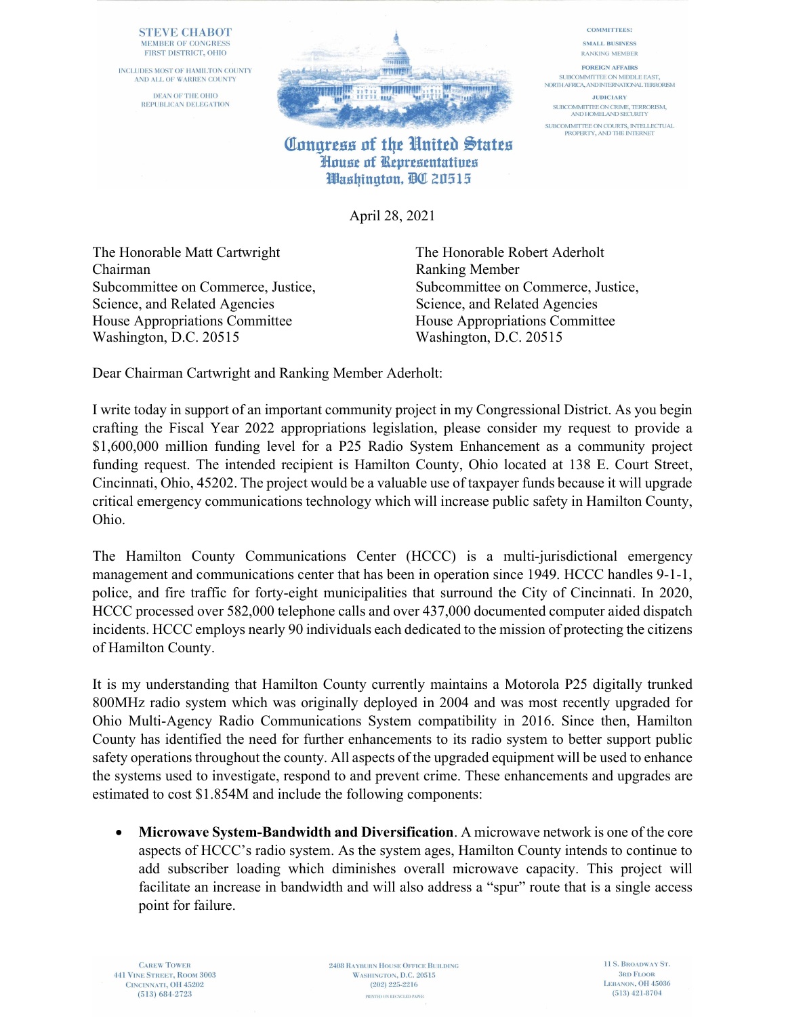## **STEVE CHABOT MEMBER OF CONGRESS** FIRST DISTRICT, OHIO

INCLUDES MOST OF HAMILTON COUNTY AND ALL OF WARREN COUNTY

> **DEAN OF THE OHIO REPUBLICAN DELEGATION**



## Congress of the United States **House of Representatives** Washington, DC 20515

April 28, 2021

The Honorable Matt Cartwright The Honorable Robert Aderholt Chairman Ranking Member Science, and Related Agencies Science, and Related Agencies House Appropriations Committee House Appropriations Committee Washington, D.C. 20515 Washington, D.C. 20515

Subcommittee on Commerce, Justice, Subcommittee on Commerce, Justice,

Dear Chairman Cartwright and Ranking Member Aderholt:

I write today in support of an important community project in my Congressional District. As you begin crafting the Fiscal Year 2022 appropriations legislation, please consider my request to provide a \$1,600,000 million funding level for a P25 Radio System Enhancement as a community project funding request. The intended recipient is Hamilton County, Ohio located at 138 E. Court Street, Cincinnati, Ohio, 45202. The project would be a valuable use of taxpayer funds because it will upgrade critical emergency communications technology which will increase public safety in Hamilton County, Ohio.

The Hamilton County Communications Center (HCCC) is a multi-jurisdictional emergency management and communications center that has been in operation since 1949. HCCC handles 9-1-1, police, and fire traffic for forty-eight municipalities that surround the City of Cincinnati. In 2020, HCCC processed over 582,000 telephone calls and over 437,000 documented computer aided dispatch incidents. HCCC employs nearly 90 individuals each dedicated to the mission of protecting the citizens of Hamilton County.

It is my understanding that Hamilton County currently maintains a Motorola P25 digitally trunked 800MHz radio system which was originally deployed in 2004 and was most recently upgraded for Ohio Multi-Agency Radio Communications System compatibility in 2016. Since then, Hamilton County has identified the need for further enhancements to its radio system to better support public safety operations throughout the county. All aspects of the upgraded equipment will be used to enhance the systems used to investigate, respond to and prevent crime. These enhancements and upgrades are estimated to cost \$1.854M and include the following components:

 Microwave System-Bandwidth and Diversification. A microwave network is one of the core aspects of HCCC's radio system. As the system ages, Hamilton County intends to continue to add subscriber loading which diminishes overall microwave capacity. This project will facilitate an increase in bandwidth and will also address a "spur" route that is a single access point for failure.

**CAREW TOWER** 441 VINE STREET, ROOM 3003 CINCINNATI, OH 45202  $(513) 684 - 2723$ 

2408 RAYBURN HOUSE OFFICE BUILDING WASHINGTON, D.C. 20515  $(202)$  225-2216 PRINTED ON RECYCLED PAPER.

11 S. BROADWAY ST. **3RD FLOOR** LEBANON, OH 45036  $(513)$  421-8704

**COMMITTEES:** 

SMALL RUSINESS **RANKING MEMBER** 

**FOREIGN AFFAIRS** SURCOMMITTEE ON MIDDLE EAST. NORTH AFRICA, AND INTERNATIONAL TERRORISM **JUDICIARY** SUBCOMMITTEE ON CRIME, TERRORISM, AND HOMELAND SECURITY

SUBCOMMITTEE ON COURTS, INTELLECTUAL<br>PROPERTY, AND THE INTERNET